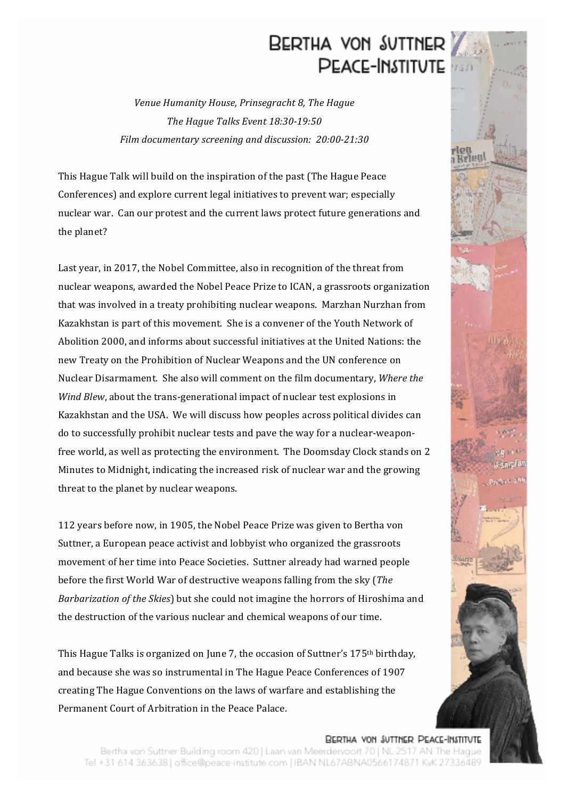## BERTHA VON SUTTNER **PEACE-INSTITUTE**

*Venue Humanity House, Prinsegracht 8, The Hague The Hague Talks Event 18:30-19:50 Film documentary screening and discussion: 20:00-21:30*

This Hague Talk will build on the inspiration of the past (The Hague Peace Conferences) and explore current legal initiatives to prevent war; especially nuclear war. Can our protest and the current laws protect future generations and the planet?

Last year, in 2017, the Nobel Committee, also in recognition of the threat from nuclear weapons, awarded the Nobel Peace Prize to ICAN, a grassroots organization that was involved in a treaty prohibiting nuclear weapons. Marzhan Nurzhan from Kazakhstan is part of this movement. She is a convener of the Youth Network of Abolition 2000, and informs about successful initiatives at the United Nations: the new Treaty on the Prohibition of Nuclear Weapons and the UN conference on Nuclear Disarmament. She also will comment on the film documentary, *Where the Wind Blew*, about the trans-generational impact of nuclear test explosions in Kazakhstan and the USA. We will discuss how peoples across political divides can do to successfully prohibit nuclear tests and pave the way for a nuclear-weaponfree world, as well as protecting the environment. The Doomsday Clock stands on 2 Minutes to Midnight, indicating the increased risk of nuclear war and the growing threat to the planet by nuclear weapons.

112 years before now, in 1905, the Nobel Peace Prize was given to Bertha von Suttner, a European peace activist and lobbyist who organized the grassroots movement of her time into Peace Societies. Suttner already had warned people before the first World War of destructive weapons falling from the sky (*The Barbarization of the Skies*) but she could not imagine the horrors of Hiroshima and the destruction of the various nuclear and chemical weapons of our time. 

This Hague Talks is organized on June 7, the occasion of Suttner's 175<sup>th</sup> birthday, and because she was so instrumental in The Hague Peace Conferences of 1907 creating The Hague Conventions on the laws of warfare and establishing the Permanent Court of Arbitration in the Peace Palace. 

BERTHA VON SUTTNER PEACE-INSTITUTE Bertha von Suttner Building room 420 | Laan van Meerdervoort 70 | NL 2517 AN The Hague Tel +31 614 363638 | office@peace-institute.com | IBAN NL67ABNA0566174871 KvK 27336489